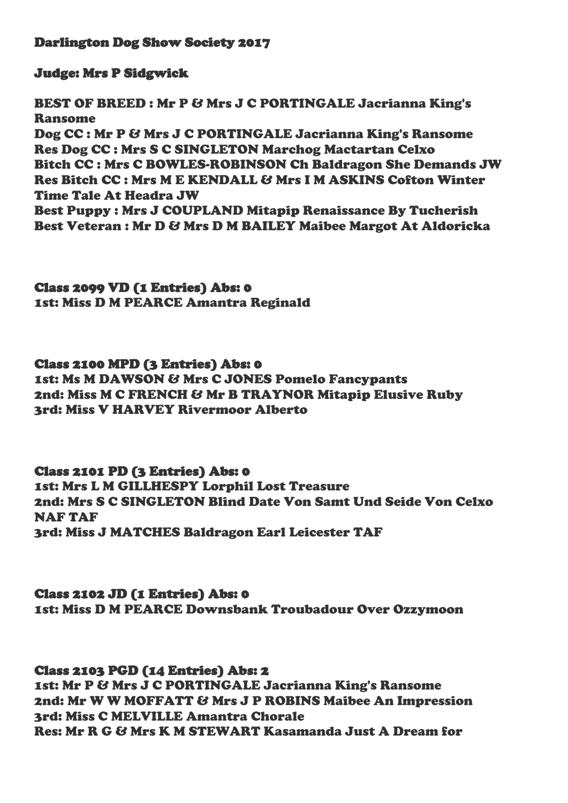## Darlington Dog Show Society 2017

## Judge: Mrs P Sidgwick

BEST OF BREED : Mr P & Mrs J C PORTINGALE Jacrianna King's Ransome Dog CC : Mr P & Mrs J C PORTINGALE Jacrianna King's Ransome Res Dog CC : Mrs S C SINGLETON Marchog Mactartan Celxo Bitch CC : Mrs C BOWLES-ROBINSON Ch Baldragon She Demands JW Res Bitch CC : Mrs M E KENDALL & Mrs I M ASKINS Cofton Winter Time Tale At Headra JW Best Puppy : Mrs J COUPLAND Mitapip Renaissance By Tucherish Best Veteran : Mr D & Mrs D M BAILEY Maibee Margot At Aldoricka

# Class 2099 VD (1 Entries) Abs: 0

1st: Miss D M PEARCE Amantra Reginald

## Class 2100 MPD (3 Entries) Abs: 0

1st: Ms M DAWSON & Mrs C JONES Pomelo Fancypants 2nd: Miss M C FRENCH & Mr B TRAYNOR Mitapip Elusive Ruby 3rd: Miss V HARVEY Rivermoor Alberto

## Class 2101 PD (3 Entries) Abs: 0

1st: Mrs L M GILLHESPY Lorphil Lost Treasure 2nd: Mrs S C SINGLETON Blind Date Von Samt Und Seide Von Celxo NAF TAF 3rd: Miss J MATCHES Baldragon Earl Leicester TAF

## Class 2102 JD (1 Entries) Abs: 0

1st: Miss D M PEARCE Downsbank Troubadour Over Ozzymoon

#### Class 2103 PGD (14 Entries) Abs: 2

1st: Mr P & Mrs J C PORTINGALE Jacrianna King's Ransome 2nd: Mr W W MOFFATT & Mrs J P ROBINS Maibee An Impression 3rd: Miss C MELVILLE Amantra Chorale Res: Mr R G & Mrs K M STEWART Kasamanda Just A Dream for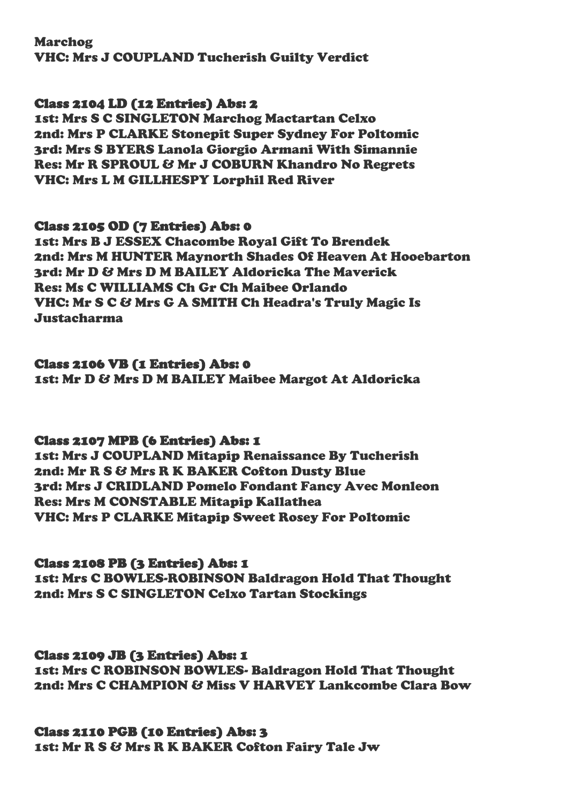Marchog VHC: Mrs J COUPLAND Tucherish Guilty Verdict

## Class 2104 LD (12 Entries) Abs: 2

1st: Mrs S C SINGLETON Marchog Mactartan Celxo 2nd: Mrs P CLARKE Stonepit Super Sydney For Poltomic 3rd: Mrs S BYERS Lanola Giorgio Armani With Simannie Res: Mr R SPROUL & Mr J COBURN Khandro No Regrets VHC: Mrs L M GILLHESPY Lorphil Red River

#### Class 2105 OD (7 Entries) Abs: 0

1st: Mrs B J ESSEX Chacombe Royal Gift To Brendek 2nd: Mrs M HUNTER Maynorth Shades Of Heaven At Hooebarton 3rd: Mr D & Mrs D M BAILEY Aldoricka The Maverick Res: Ms C WILLIAMS Ch Gr Ch Maibee Orlando VHC: Mr S C & Mrs G A SMITH Ch Headra's Truly Magic Is Justacharma

## Class 2106 VB (1 Entries) Abs: 0

1st: Mr D & Mrs D M BAILEY Maibee Margot At Aldoricka

## Class 2107 MPB (6 Entries) Abs: 1

1st: Mrs J COUPLAND Mitapip Renaissance By Tucherish 2nd: Mr R S & Mrs R K BAKER Cofton Dusty Blue 3rd: Mrs J CRIDLAND Pomelo Fondant Fancy Avec Monleon Res: Mrs M CONSTABLE Mitapip Kallathea VHC: Mrs P CLARKE Mitapip Sweet Rosey For Poltomic

## Class 2108 PB (3 Entries) Abs: 1

1st: Mrs C BOWLES-ROBINSON Baldragon Hold That Thought 2nd: Mrs S C SINGLETON Celxo Tartan Stockings

## Class 2109 JB (3 Entries) Abs: 1

1st: Mrs C ROBINSON BOWLES- Baldragon Hold That Thought 2nd: Mrs C CHAMPION & Miss V HARVEY Lankcombe Clara Bow

## Class 2110 PGB (10 Entries) Abs: 3

1st: Mr R S & Mrs R K BAKER Cofton Fairy Tale Jw